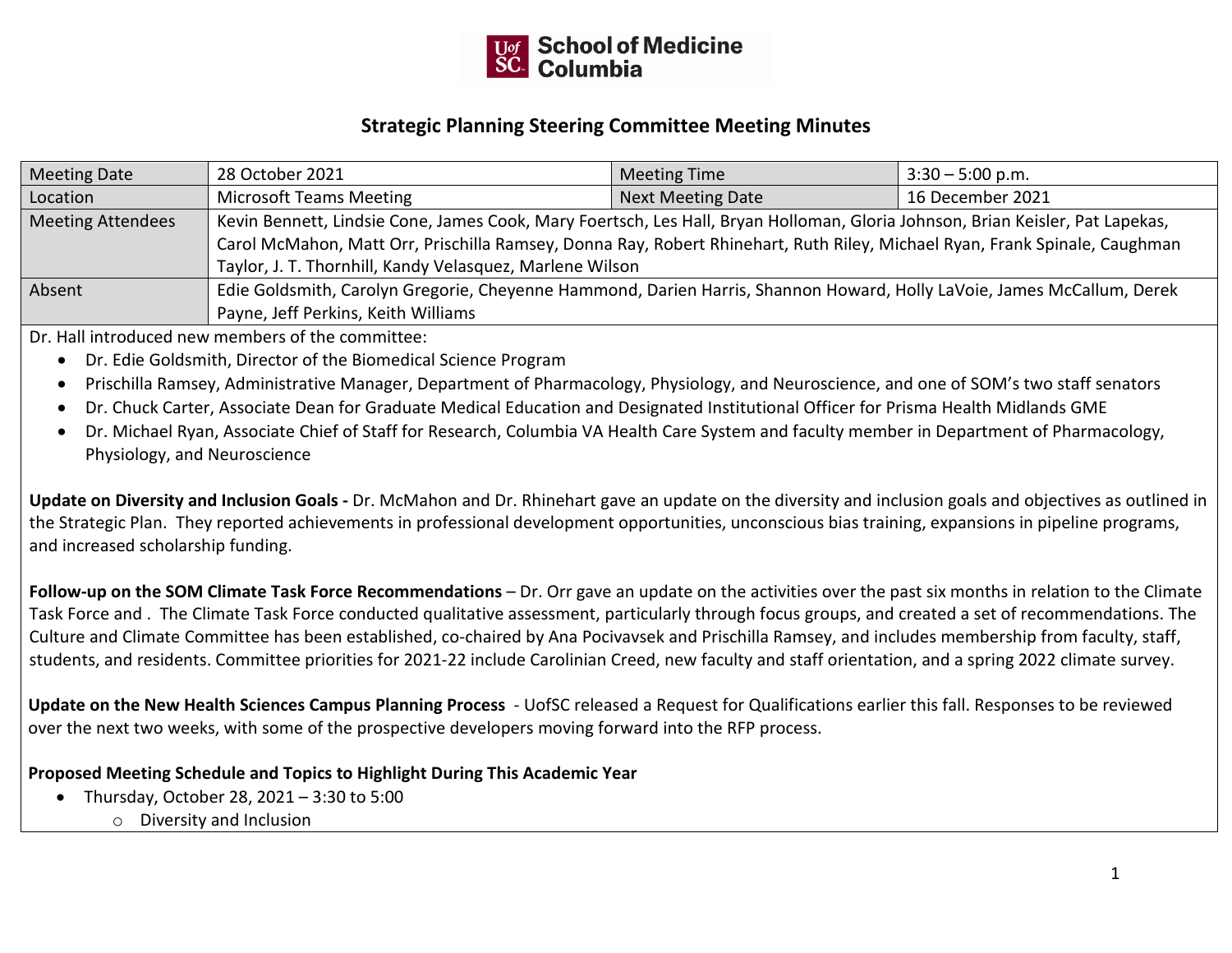

## **Strategic Planning Steering Committee Meeting Minutes**

| Meeting Date             | 28 October 2021                                                                                                               | <b>Meeting Time</b>      | $3:30 - 5:00$ p.m. |
|--------------------------|-------------------------------------------------------------------------------------------------------------------------------|--------------------------|--------------------|
| Location                 | Microsoft Teams Meeting                                                                                                       | <b>Next Meeting Date</b> | 16 December 2021   |
| <b>Meeting Attendees</b> | Kevin Bennett, Lindsie Cone, James Cook, Mary Foertsch, Les Hall, Bryan Holloman, Gloria Johnson, Brian Keisler, Pat Lapekas, |                          |                    |
|                          | Carol McMahon, Matt Orr, Prischilla Ramsey, Donna Ray, Robert Rhinehart, Ruth Riley, Michael Ryan, Frank Spinale, Caughman    |                          |                    |
|                          | Taylor, J. T. Thornhill, Kandy Velasquez, Marlene Wilson                                                                      |                          |                    |
| Absent                   | Edie Goldsmith, Carolyn Gregorie, Cheyenne Hammond, Darien Harris, Shannon Howard, Holly LaVoie, James McCallum, Derek        |                          |                    |
|                          | Payne, Jeff Perkins, Keith Williams                                                                                           |                          |                    |

Dr. Hall introduced new members of the committee:

- Dr. Edie Goldsmith, Director of the Biomedical Science Program
- Prischilla Ramsey, Administrative Manager, Department of Pharmacology, Physiology, and Neuroscience, and one of SOM's two staff senators
- Dr. Chuck Carter, Associate Dean for Graduate Medical Education and Designated Institutional Officer for Prisma Health Midlands GME
- Dr. Michael Ryan, Associate Chief of Staff for Research, Columbia VA Health Care System and faculty member in Department of Pharmacology, Physiology, and Neuroscience

**Update on Diversity and Inclusion Goals -** Dr. McMahon and Dr. Rhinehart gave an update on the diversity and inclusion goals and objectives as outlined in the Strategic Plan. They reported achievements in professional development opportunities, unconscious bias training, expansions in pipeline programs, and increased scholarship funding.

**Follow-up on the SOM Climate Task Force Recommendations** – Dr. Orr gave an update on the activities over the past six months in relation to the Climate Task Force and . The Climate Task Force conducted qualitative assessment, particularly through focus groups, and created a set of recommendations. The Culture and Climate Committee has been established, co-chaired by Ana Pocivavsek and Prischilla Ramsey, and includes membership from faculty, staff, students, and residents. Committee priorities for 2021-22 include Carolinian Creed, new faculty and staff orientation, and a spring 2022 climate survey.

**Update on the New Health Sciences Campus Planning Process** - UofSC released a Request for Qualifications earlier this fall. Responses to be reviewed over the next two weeks, with some of the prospective developers moving forward into the RFP process.

## **Proposed Meeting Schedule and Topics to Highlight During This Academic Year**

- Thursday, October 28, 2021 3:30 to 5:00
	- o Diversity and Inclusion